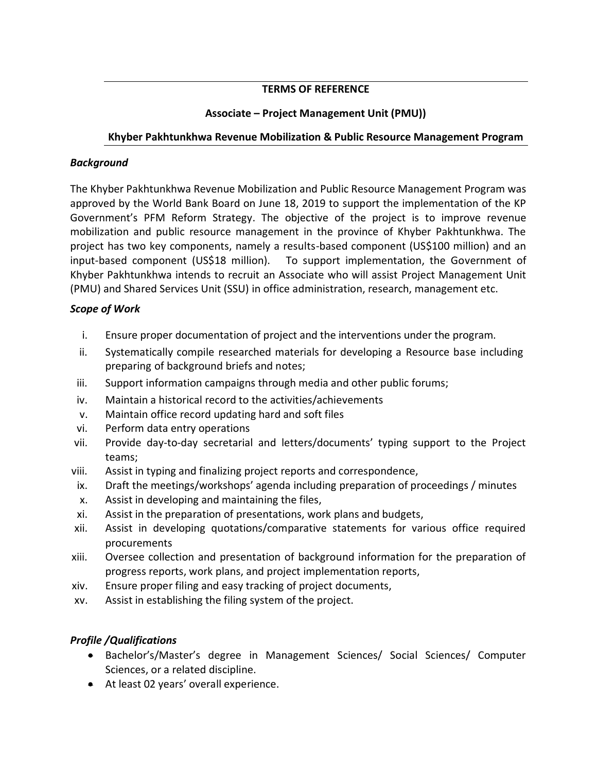### **TERMS OF REFERENCE**

# **Associate – Project Management Unit (PMU))**

## **Khyber Pakhtunkhwa Revenue Mobilization & Public Resource Management Program**

#### *Background*

The Khyber Pakhtunkhwa Revenue Mobilization and Public Resource Management Program was approved by the World Bank Board on June 18, 2019 to support the implementation of the KP Government's PFM Reform Strategy. The objective of the project is to improve revenue mobilization and public resource management in the province of Khyber Pakhtunkhwa. The project has two key components, namely a results-based component (US\$100 million) and an input-based component (US\$18 million). To support implementation, the Government of Khyber Pakhtunkhwa intends to recruit an Associate who will assist Project Management Unit (PMU) and Shared Services Unit (SSU) in office administration, research, management etc.

### *Scope of Work*

- i. Ensure proper documentation of project and the interventions under the program.
- ii. Systematically compile researched materials for developing a Resource base including preparing of background briefs and notes;
- iii. Support information campaigns through media and other public forums;
- iv. Maintain a historical record to the activities/achievements
- v. Maintain office record updating hard and soft files
- vi. Perform data entry operations
- vii. Provide day-to-day secretarial and letters/documents' typing support to the Project teams;
- viii. Assist in typing and finalizing project reports and correspondence,
- ix. Draft the meetings/workshops' agenda including preparation of proceedings / minutes
- x. Assist in developing and maintaining the files,
- xi. Assist in the preparation of presentations, work plans and budgets,
- xii. Assist in developing quotations/comparative statements for various office required procurements
- xiii. Oversee collection and presentation of background information for the preparation of progress reports, work plans, and project implementation reports,
- xiv. Ensure proper filing and easy tracking of project documents,
- xv. Assist in establishing the filing system of the project.

### *Profile /Qualifications*

- Bachelor's/Master's degree in Management Sciences/ Social Sciences/ Computer Sciences, or a related discipline.
- At least 02 years' overall experience.